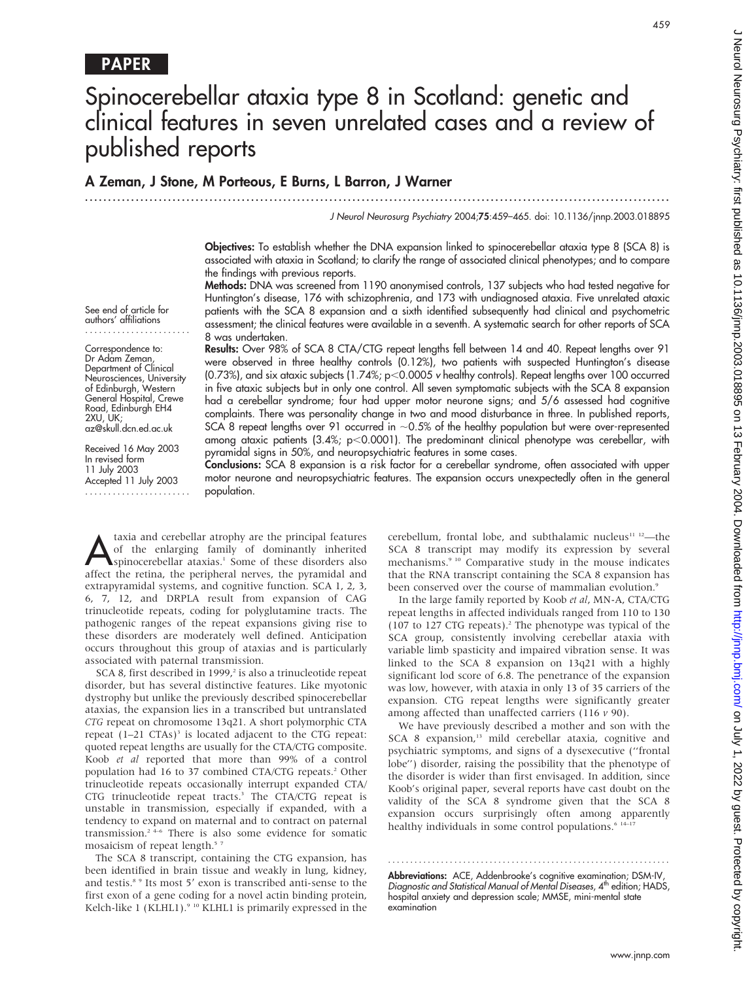# Spinocerebellar ataxia type 8 in Scotland: genetic and clinical features in seven unrelated cases and a review of published reports

# A Zeman, J Stone, M Porteous, E Burns, L Barron, J Warner

.............................................................................................................................. .

J Neurol Neurosurg Psychiatry 2004;75:459–465. doi: 10.1136/jnnp.2003.018895

Objectives: To establish whether the DNA expansion linked to spinocerebellar ataxia type 8 (SCA 8) is associated with ataxia in Scotland; to clarify the range of associated clinical phenotypes; and to compare the findings with previous reports.

Methods: DNA was screened from 1190 anonymised controls, 137 subjects who had tested negative for Huntington's disease, 176 with schizophrenia, and 173 with undiagnosed ataxia. Five unrelated ataxic patients with the SCA 8 expansion and a sixth identified subsequently had clinical and psychometric assessment; the clinical features were available in a seventh. A systematic search for other reports of SCA 8 was undertaken.

Results: Over 98% of SCA 8 CTA/CTG repeat lengths fell between 14 and 40. Repeat lengths over 91 were observed in three healthy controls (0.12%), two patients with suspected Huntington's disease (0.73%), and six ataxic subjects (1.74%;  $p<0.0005$  v healthy controls). Repeat lengths over 100 occurred in five ataxic subjects but in only one control. All seven symptomatic subjects with the SCA 8 expansion had a cerebellar syndrome; four had upper motor neurone signs; and 5/6 assessed had cognitive complaints. There was personality change in two and mood disturbance in three. In published reports, SCA 8 repeat lengths over 91 occurred in  $~0.5\%$  of the healthy population but were over-represented among ataxic patients  $(3.4\%)$  p $<$ 0.0001). The predominant clinical phenotype was cerebellar, with pyramidal signs in 50%, and neuropsychiatric features in some cases.

Conclusions: SCA 8 expansion is a risk factor for a cerebellar syndrome, often associated with upper motor neurone and neuropsychiatric features. The expansion occurs unexpectedly often in the general population.

Ataxia and cerebellar atrophy are the principal features<br>of the enlarging family of dominantly inherited<br>spinocerebellar ataxias.<sup>1</sup> Some of these disorders also<br>affect the retina, the peripheral persec, the pyramidal and of the enlarging family of dominantly inherited affect the retina, the peripheral nerves, the pyramidal and extrapyramidal systems, and cognitive function. SCA 1, 2, 3, 6, 7, 12, and DRPLA result from expansion of CAG trinucleotide repeats, coding for polyglutamine tracts. The pathogenic ranges of the repeat expansions giving rise to these disorders are moderately well defined. Anticipation occurs throughout this group of ataxias and is particularly associated with paternal transmission.

SCA 8, first described in 1999,<sup>2</sup> is also a trinucleotide repeat disorder, but has several distinctive features. Like myotonic dystrophy but unlike the previously described spinocerebellar ataxias, the expansion lies in a transcribed but untranslated CTG repeat on chromosome 13q21. A short polymorphic CTA repeat  $(1-21 \text{ CTAs})^3$  is located adjacent to the CTG repeat: quoted repeat lengths are usually for the CTA/CTG composite. Koob et al reported that more than 99% of a control population had 16 to 37 combined CTA/CTG repeats.<sup>2</sup> Other trinucleotide repeats occasionally interrupt expanded CTA/ CTG trinucleotide repeat tracts.<sup>3</sup> The CTA/CTG repeat is unstable in transmission, especially if expanded, with a tendency to expand on maternal and to contract on paternal transmission.2 4–6 There is also some evidence for somatic mosaicism of repeat length.<sup>57</sup>

The SCA 8 transcript, containing the CTG expansion, has been identified in brain tissue and weakly in lung, kidney, and testis.<sup>8</sup> <sup>9</sup> Its most 5' exon is transcribed anti-sense to the first exon of a gene coding for a novel actin binding protein, Kelch-like 1 (KLHL1).<sup>9 10</sup> KLHL1 is primarily expressed in the cerebellum, frontal lobe, and subthalamic nucleus $11$   $12$ —the SCA 8 transcript may modify its expression by several mechanisms.<sup>9 10</sup> Comparative study in the mouse indicates that the RNA transcript containing the SCA 8 expansion has been conserved over the course of mammalian evolution.<sup>9</sup>

In the large family reported by Koob et al, MN-A, CTA/CTG repeat lengths in affected individuals ranged from 110 to 130 (107 to 127 CTG repeats).<sup>2</sup> The phenotype was typical of the SCA group, consistently involving cerebellar ataxia with variable limb spasticity and impaired vibration sense. It was linked to the SCA 8 expansion on 13q21 with a highly significant lod score of 6.8. The penetrance of the expansion was low, however, with ataxia in only 13 of 35 carriers of the expansion. CTG repeat lengths were significantly greater among affected than unaffected carriers  $(116 v 90)$ .

We have previously described a mother and son with the SCA 8 expansion,<sup>13</sup> mild cerebellar ataxia, cognitive and psychiatric symptoms, and signs of a dysexecutive (''frontal lobe'') disorder, raising the possibility that the phenotype of the disorder is wider than first envisaged. In addition, since Koob's original paper, several reports have cast doubt on the validity of the SCA 8 syndrome given that the SCA 8 expansion occurs surprisingly often among apparently healthy individuals in some control populations.<sup>6</sup> <sup>14–17</sup>

Abbreviations: ACE, Addenbrooke's cognitive examination; DSM-IV, Diagnostic and Statistical Manual of Mental Diseases, 4<sup>th</sup> edition; HADS, hospital anxiety and depression scale; MMSE, mini-mental state examination

............................................................... .

Correspondence to: Dr Adam Zeman Department of Clinical Neurosciences, University of Edinburgh, Western General Hospital, Crewe Road, Edinburgh EH4 2XU, UK; az@skull.dcn.ed.ac.uk

See end of article for authors' affiliations .......................

Received 16 May 2003 In revised form 11 July 2003 Accepted 11 July 2003 .......................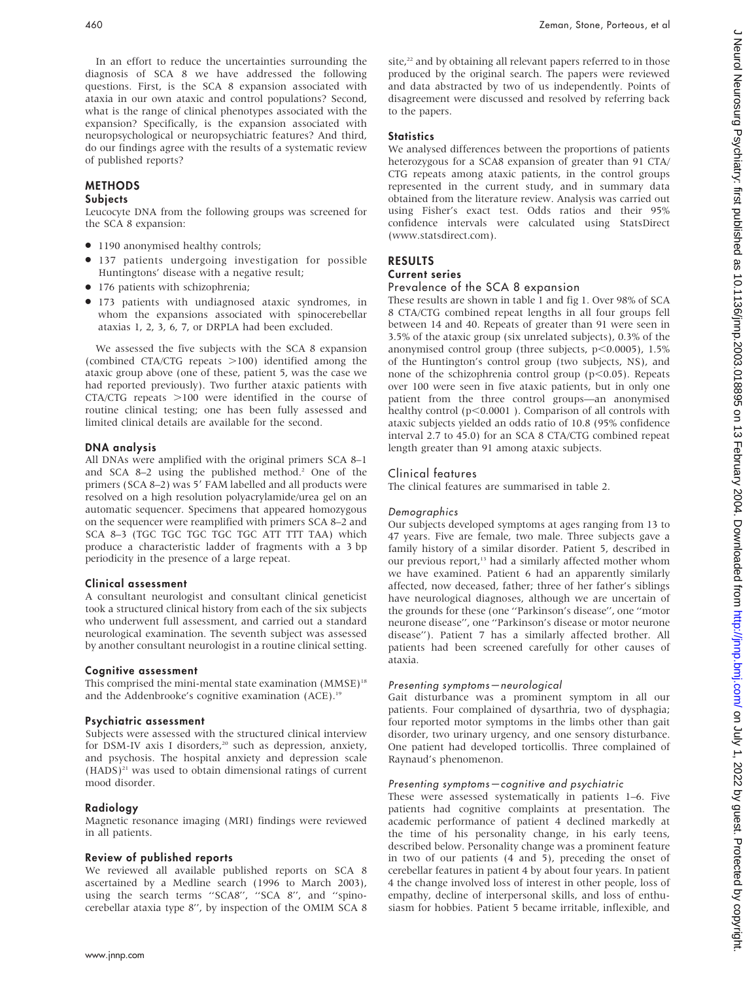In an effort to reduce the uncertainties surrounding the diagnosis of SCA 8 we have addressed the following questions. First, is the SCA 8 expansion associated with ataxia in our own ataxic and control populations? Second, what is the range of clinical phenotypes associated with the expansion? Specifically, is the expansion associated with neuropsychological or neuropsychiatric features? And third, do our findings agree with the results of a systematic review of published reports?

# METHODS

# **Subjects**

Leucocyte DNA from the following groups was screened for the SCA 8 expansion:

- 1190 anonymised healthy controls;
- $\bullet$  137 patients undergoing investigation for possible Huntingtons' disease with a negative result;
- 176 patients with schizophrenia;
- $\bullet$  173 patients with undiagnosed ataxic syndromes, in whom the expansions associated with spinocerebellar ataxias 1, 2, 3, 6, 7, or DRPLA had been excluded.

We assessed the five subjects with the SCA 8 expansion (combined CTA/CTG repeats  $>100$ ) identified among the ataxic group above (one of these, patient 5, was the case we had reported previously). Two further ataxic patients with CTA/CTG repeats  $>100$  were identified in the course of routine clinical testing; one has been fully assessed and limited clinical details are available for the second.

# DNA analysis

All DNAs were amplified with the original primers SCA 8–1 and SCA 8-2 using the published method.<sup>2</sup> One of the primers (SCA 8-2) was 5' FAM labelled and all products were resolved on a high resolution polyacrylamide/urea gel on an automatic sequencer. Specimens that appeared homozygous on the sequencer were reamplified with primers SCA 8–2 and SCA 8–3 (TGC TGC TGC TGC TGC ATT TTT TAA) which produce a characteristic ladder of fragments with a 3 bp periodicity in the presence of a large repeat.

# Clinical assessment

A consultant neurologist and consultant clinical geneticist took a structured clinical history from each of the six subjects who underwent full assessment, and carried out a standard neurological examination. The seventh subject was assessed by another consultant neurologist in a routine clinical setting.

# Cognitive assessment

This comprised the mini-mental state examination  $(MMSE)^{18}$ and the Addenbrooke's cognitive examination (ACE).<sup>19</sup>

# Psychiatric assessment

Subjects were assessed with the structured clinical interview for DSM-IV axis I disorders,<sup>20</sup> such as depression, anxiety, and psychosis. The hospital anxiety and depression scale  $(HADS)^{21}$  was used to obtain dimensional ratings of current mood disorder.

# Radiology

Magnetic resonance imaging (MRI) findings were reviewed in all patients.

# Review of published reports

We reviewed all available published reports on SCA 8 ascertained by a Medline search (1996 to March 2003), using the search terms ''SCA8'', ''SCA 8'', and ''spinocerebellar ataxia type 8'', by inspection of the OMIM SCA 8 site,<sup>22</sup> and by obtaining all relevant papers referred to in those produced by the original search. The papers were reviewed and data abstracted by two of us independently. Points of disagreement were discussed and resolved by referring back to the papers.

# **Statistics**

We analysed differences between the proportions of patients heterozygous for a SCA8 expansion of greater than 91 CTA/ CTG repeats among ataxic patients, in the control groups represented in the current study, and in summary data obtained from the literature review. Analysis was carried out using Fisher's exact test. Odds ratios and their 95% confidence intervals were calculated using StatsDirect (www.statsdirect.com).

# RESULTS Current series

# Prevalence of the SCA 8 expansion

These results are shown in table 1 and fig 1. Over 98% of SCA 8 CTA/CTG combined repeat lengths in all four groups fell between 14 and 40. Repeats of greater than 91 were seen in 3.5% of the ataxic group (six unrelated subjects), 0.3% of the anonymised control group (three subjects,  $p<0.0005$ ), 1.5% of the Huntington's control group (two subjects, NS), and none of the schizophrenia control group ( $p$ <0.05). Repeats over 100 were seen in five ataxic patients, but in only one patient from the three control groups—an anonymised healthy control ( $p<0.0001$  ). Comparison of all controls with ataxic subjects yielded an odds ratio of 10.8 (95% confidence interval 2.7 to 45.0) for an SCA 8 CTA/CTG combined repeat length greater than 91 among ataxic subjects.

# Clinical features

The clinical features are summarised in table 2.

### Demographics

Our subjects developed symptoms at ages ranging from 13 to 47 years. Five are female, two male. Three subjects gave a family history of a similar disorder. Patient 5, described in our previous report,<sup>13</sup> had a similarly affected mother whom we have examined. Patient 6 had an apparently similarly affected, now deceased, father; three of her father's siblings have neurological diagnoses, although we are uncertain of the grounds for these (one ''Parkinson's disease'', one ''motor neurone disease'', one ''Parkinson's disease or motor neurone disease''). Patient 7 has a similarly affected brother. All patients had been screened carefully for other causes of ataxia.

### Presenting symptoms—neurological

Gait disturbance was a prominent symptom in all our patients. Four complained of dysarthria, two of dysphagia; four reported motor symptoms in the limbs other than gait disorder, two urinary urgency, and one sensory disturbance. One patient had developed torticollis. Three complained of Raynaud's phenomenon.

### Presenting symptoms—cognitive and psychiatric

These were assessed systematically in patients 1–6. Five patients had cognitive complaints at presentation. The academic performance of patient 4 declined markedly at the time of his personality change, in his early teens, described below. Personality change was a prominent feature in two of our patients (4 and 5), preceding the onset of cerebellar features in patient 4 by about four years. In patient 4 the change involved loss of interest in other people, loss of empathy, decline of interpersonal skills, and loss of enthusiasm for hobbies. Patient 5 became irritable, inflexible, and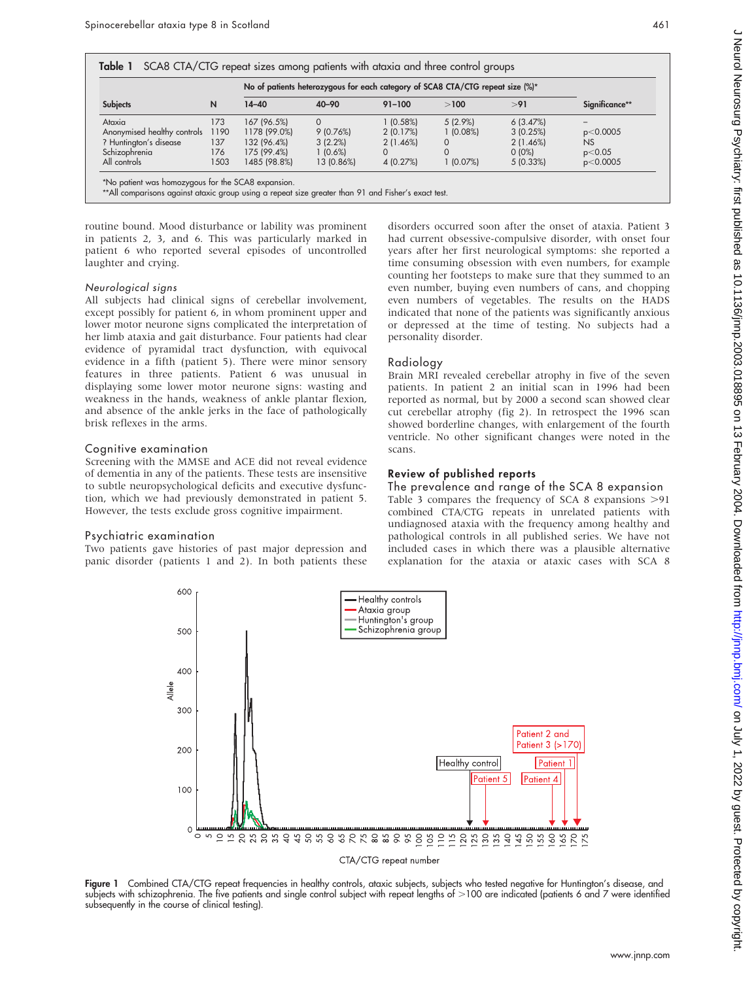|                             | N    | No of patients heterozygous for each category of SCA8 CTA/CTG repeat size (%)* |            |             |            |          |                |
|-----------------------------|------|--------------------------------------------------------------------------------|------------|-------------|------------|----------|----------------|
| <b>Subjects</b>             |      | $14 - 40$                                                                      | $40 - 90$  | $91 - 100$  | >100       | > 91     | Significance** |
| Ataxia                      | 173  | 167 (96.5%)                                                                    | $\Omega$   | 1(0.58%)    | $5(2.9\%)$ | 6(3.47%) |                |
| Anonymised healthy controls | 1190 | 1178 (99.0%)                                                                   | 9(0.76%)   | 2(0.17%)    | 1(0.08%)   | 3(0.25%) | p<0.0005       |
| ? Huntington's disease      | 137  | 132 (96.4%)                                                                    | 3(2.2%)    | $2(1.46\%)$ |            | 2(1.46%) | NS             |
| Schizophrenia               | 176  | 175 (99.4%)                                                                    | $1(0.6\%)$ |             |            | $0(0\%)$ | p<0.05         |
| All controls                | 1503 | 1485 (98.8%)                                                                   | 13 (0.86%) | 4 (0.27%)   | 1 (0.07%)  | 5(0.33%) | p<0.0005       |

atient was homozygous for the SCA8 expansion.

\*\*All comparisons against ataxic group using a repeat size greater than 91 and Fisher's exact test.

routine bound. Mood disturbance or lability was prominent in patients 2, 3, and 6. This was particularly marked in patient 6 who reported several episodes of uncontrolled laughter and crying.

#### Neurological signs

All subjects had clinical signs of cerebellar involvement, except possibly for patient 6, in whom prominent upper and lower motor neurone signs complicated the interpretation of her limb ataxia and gait disturbance. Four patients had clear evidence of pyramidal tract dysfunction, with equivocal evidence in a fifth (patient 5). There were minor sensory features in three patients. Patient 6 was unusual in displaying some lower motor neurone signs: wasting and weakness in the hands, weakness of ankle plantar flexion, and absence of the ankle jerks in the face of pathologically brisk reflexes in the arms.

#### Cognitive examination

Screening with the MMSE and ACE did not reveal evidence of dementia in any of the patients. These tests are insensitive to subtle neuropsychological deficits and executive dysfunction, which we had previously demonstrated in patient 5. However, the tests exclude gross cognitive impairment.

#### Psychiatric examination

600

500

400 allell<br>N 300

 $200$ 

 $100$ 

 $\Omega$ 

Two patients gave histories of past major depression and panic disorder (patients 1 and 2). In both patients these disorders occurred soon after the onset of ataxia. Patient 3 had current obsessive-compulsive disorder, with onset four years after her first neurological symptoms: she reported a time consuming obsession with even numbers, for example counting her footsteps to make sure that they summed to an even number, buying even numbers of cans, and chopping even numbers of vegetables. The results on the HADS indicated that none of the patients was significantly anxious or depressed at the time of testing. No subjects had a personality disorder.

### Radiology

Brain MRI revealed cerebellar atrophy in five of the seven patients. In patient 2 an initial scan in 1996 had been reported as normal, but by 2000 a second scan showed clear cut cerebellar atrophy (fig 2). In retrospect the 1996 scan showed borderline changes, with enlargement of the fourth ventricle. No other significant changes were noted in the scans.

### Review of published reports

Healthy control

Patient 5

The prevalence and range of the SCA 8 expansion Table 3 compares the frequency of SCA 8 expansions  $>91$ combined CTA/CTG repeats in unrelated patients with undiagnosed ataxia with the frequency among healthy and pathological controls in all published series. We have not included cases in which there was a plausible alternative explanation for the ataxia or ataxic cases with SCA 8

> Patient 2 and Patient 3 (>170

Patient 4

Patient 1



Healthy controls Ataxia group Huntington's group

Schizophrenia group

Figure 1 Combined CTA/CTG repeat frequencies in healthy controls, ataxic subjects, subjects who tested negative for Huntington's disease, and subjects with schizophrenia. The five patients and single control subject with repeat lengths of .100 are indicated (patients 6 and 7 were identified subsequently in the course of clinical testing).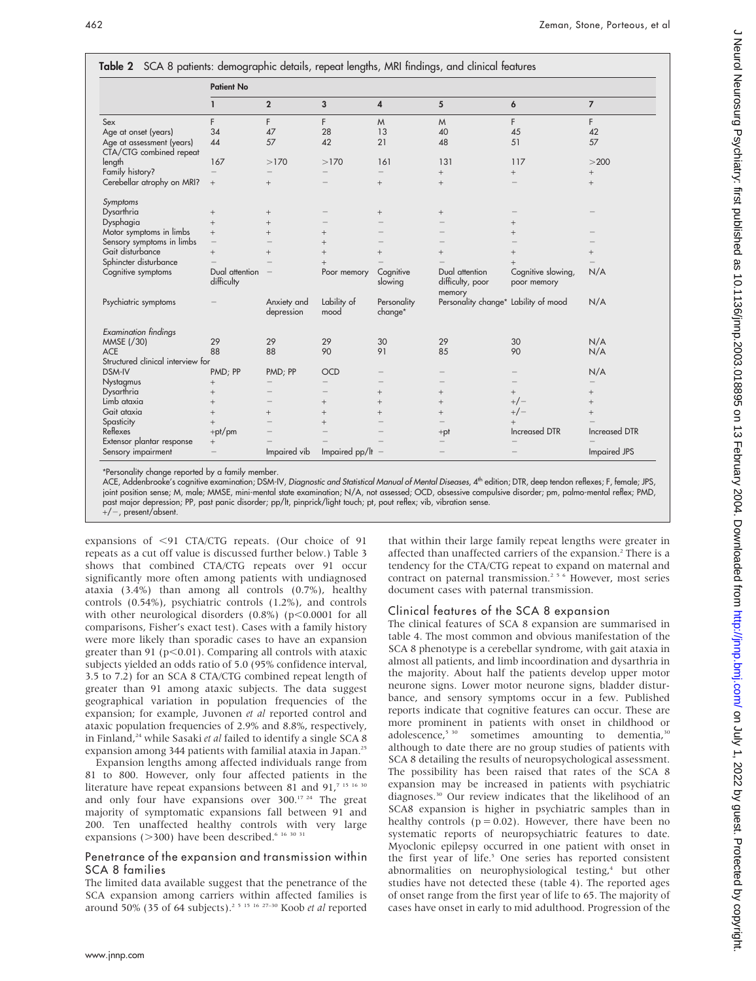|                                                      | <b>Patient No</b>               |                           |                          |                         |                                              |                                   |                      |  |  |
|------------------------------------------------------|---------------------------------|---------------------------|--------------------------|-------------------------|----------------------------------------------|-----------------------------------|----------------------|--|--|
|                                                      | 1                               | $\overline{2}$            | 3                        | $\overline{\mathbf{4}}$ | 5                                            | 6                                 | $\overline{7}$       |  |  |
| Sex                                                  | F                               | F                         | F                        | M                       | M                                            | F.                                | F                    |  |  |
| Age at onset (years)                                 | 34                              | 47                        | 28                       | 13                      | 40                                           | 45                                | 42                   |  |  |
| Age at assessment (years)<br>CTA/CTG combined repeat | 44                              | 57                        | 42                       | 21                      | 48                                           | 51                                | 57                   |  |  |
| length                                               | 167                             | >170                      | >170                     | 161                     | 131                                          | 117                               | >200                 |  |  |
| Family history?                                      |                                 |                           |                          |                         | $^{+}$                                       | $\! +$                            | $+$                  |  |  |
| Cerebellar atrophy on MRI?                           | $^{+}$                          | $+$                       |                          | $^{+}$                  | $^{+}$                                       | $\overline{\phantom{0}}$          | $^{+}$               |  |  |
| Symptoms                                             |                                 |                           |                          |                         |                                              |                                   |                      |  |  |
| Dysarthria                                           | $^{+}$                          | $^{+}$                    |                          | $^{+}$                  | $^{+}$                                       |                                   |                      |  |  |
| Dysphagia                                            | $^{+}$                          | $^{+}$                    |                          |                         |                                              | $^{+}$                            |                      |  |  |
| Motor symptoms in limbs                              | $^{+}$                          | $^{+}$                    | $^{+}$                   |                         |                                              | $^{+}$                            |                      |  |  |
| Sensory symptoms in limbs                            | $\overbrace{\phantom{1232211}}$ | $\overline{\phantom{0}}$  | $^{+}$                   |                         |                                              |                                   |                      |  |  |
| Gait disturbance                                     | $+$                             | $^{+}$                    | $^{+}$                   | $^{+}$                  | $^{+}$                                       | $^{+}$                            | $^{+}$               |  |  |
| Sphincter disturbance                                |                                 |                           | $^{+}$                   |                         |                                              |                                   |                      |  |  |
| Cognitive symptoms                                   | Dual attention<br>difficulty    |                           | Poor memory              | Cognitive<br>slowing    | Dual attention<br>difficulty, poor<br>memory | Cognitive slowing,<br>poor memory | N/A                  |  |  |
| Psychiatric symptoms                                 |                                 | Anxiety and<br>depression | Lability of<br>mood      | Personality<br>change*  | Personality change* Lability of mood         |                                   | N/A                  |  |  |
| <b>Examination findings</b>                          |                                 |                           |                          |                         |                                              |                                   |                      |  |  |
| MMSE (/30)                                           | 29                              | 29                        | 29                       | 30                      | 29                                           | 30                                | N/A                  |  |  |
| <b>ACE</b>                                           | 88                              | 88                        | 90                       | 91                      | 85                                           | 90                                | N/A                  |  |  |
| Structured clinical interview for                    |                                 |                           |                          |                         |                                              |                                   |                      |  |  |
| DSM-IV                                               | PMD; PP                         | PMD; PP                   | <b>OCD</b>               |                         |                                              | $\overline{\phantom{0}}$          | N/A                  |  |  |
| Nystagmus                                            | $^{+}$                          |                           |                          |                         |                                              |                                   |                      |  |  |
| Dysarthria                                           | $^{+}$                          |                           |                          | $^{+}$                  | $^{+}$                                       | $^{+}$                            | $^{+}$               |  |  |
| Limb ataxia                                          | $^{+}$                          |                           | $^{+}$                   | $^{+}$                  | $^{+}$                                       | $+/-$                             | $^{+}$               |  |  |
| Gait ataxia                                          | $^{+}$                          | $^{+}$                    | $^{+}$                   | $^{+}$                  | $^{+}$                                       | $+/-$                             | $^{+}$               |  |  |
| Spasticity                                           | $^{+}$                          |                           | $+$                      |                         |                                              | $^{+}$                            |                      |  |  |
| Reflexes                                             | $+pt/pm$                        |                           | $\overline{\phantom{0}}$ |                         | $+pt$                                        | <b>Increased DTR</b>              | <b>Increased DTR</b> |  |  |
| Extensor plantar response                            | $\! +$                          |                           |                          |                         |                                              |                                   |                      |  |  |
| Sensory impairment                                   |                                 | Impaired vib              | Impaired $pp/It -$       |                         | $\overline{\phantom{0}}$                     |                                   | <b>Impaired JPS</b>  |  |  |

\*Personality change reported by a family member.

ACE, Addenbrooke's cognitive examination; DSM-IV, Diagnostic and Statistical Manual of Mental Diseases, 4<sup>th</sup> edition; DTR, deep tendon reflexes; F, female; JPS, joint position sense; M, male; MMSE, mini-mental state examination; N/A, not assessed; OCD, obsessive compulsive disorder; pm, palmo-mental reflex; PMD, past major depression; PP, past panic disorder; pp/lt, pinprick/light touch; pt, pout reflex; vib, vibration sense.  $+/-$ , present/absent.

expansions of <91 CTA/CTG repeats. (Our choice of 91 repeats as a cut off value is discussed further below.) Table 3 shows that combined CTA/CTG repeats over 91 occur significantly more often among patients with undiagnosed ataxia (3.4%) than among all controls (0.7%), healthy controls (0.54%), psychiatric controls (1.2%), and controls with other neurological disorders  $(0.8\%)$  (p $<$ 0.0001 for all comparisons, Fisher's exact test). Cases with a family history were more likely than sporadic cases to have an expansion greater than 91 ( $p<0.01$ ). Comparing all controls with ataxic subjects yielded an odds ratio of 5.0 (95% confidence interval, 3.5 to 7.2) for an SCA 8 CTA/CTG combined repeat length of greater than 91 among ataxic subjects. The data suggest geographical variation in population frequencies of the expansion; for example, Juvonen et al reported control and ataxic population frequencies of 2.9% and 8.8%, respectively, in Finland,<sup>24</sup> while Sasaki et al failed to identify a single SCA 8 expansion among 344 patients with familial ataxia in Japan.<sup>25</sup>

Expansion lengths among affected individuals range from 81 to 800. However, only four affected patients in the literature have repeat expansions between 81 and  $91<sup>71516</sup>$ and only four have expansions over 300.17 24 The great majority of symptomatic expansions fall between 91 and 200. Ten unaffected healthy controls with very large expansions ( $>$ 300) have been described.<sup>6 16 30 31</sup>

### Penetrance of the expansion and transmission within SCA 8 families

The limited data available suggest that the penetrance of the SCA expansion among carriers within affected families is around  $50\%$  (35 of 64 subjects).<sup>2 5 15 16 27-30</sup> Koob et al reported that within their large family repeat lengths were greater in affected than unaffected carriers of the expansion.<sup>2</sup> There is a tendency for the CTA/CTG repeat to expand on maternal and contract on paternal transmission.<sup>256</sup> However, most series document cases with paternal transmission.

#### Clinical features of the SCA 8 expansion

The clinical features of SCA 8 expansion are summarised in table 4. The most common and obvious manifestation of the SCA 8 phenotype is a cerebellar syndrome, with gait ataxia in almost all patients, and limb incoordination and dysarthria in the majority. About half the patients develop upper motor neurone signs. Lower motor neurone signs, bladder disturbance, and sensory symptoms occur in a few. Published reports indicate that cognitive features can occur. These are more prominent in patients with onset in childhood or adolescence,<sup>5 30</sup> sometimes amounting to dementia,<sup>30</sup> although to date there are no group studies of patients with SCA 8 detailing the results of neuropsychological assessment. The possibility has been raised that rates of the SCA 8 expansion may be increased in patients with psychiatric diagnoses.30 Our review indicates that the likelihood of an SCA8 expansion is higher in psychiatric samples than in healthy controls ( $p = 0.02$ ). However, there have been no systematic reports of neuropsychiatric features to date. Myoclonic epilepsy occurred in one patient with onset in the first year of life.<sup>5</sup> One series has reported consistent abnormalities on neurophysiological testing,<sup>4</sup> but other studies have not detected these (table 4). The reported ages of onset range from the first year of life to 65. The majority of cases have onset in early to mid adulthood. Progression of the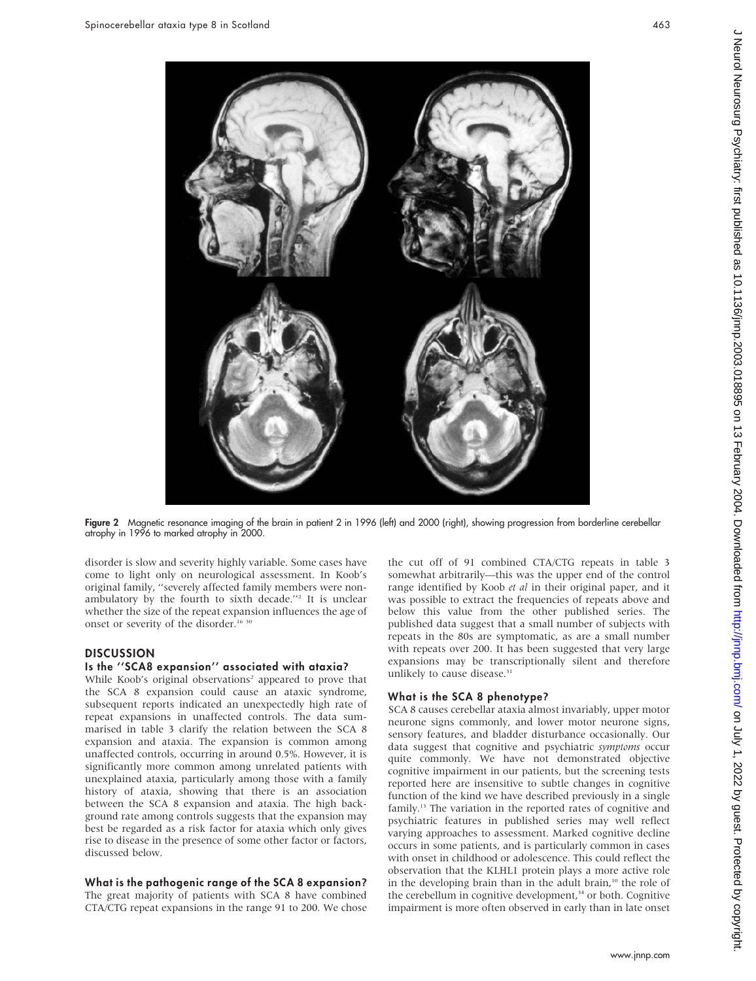

Figure 2 Magnetic resonance imaging of the brain in patient 2 in 1996 (left) and 2000 (right), showing progression from borderline cerebellar atrophy in 1996 to marked atrophy in 2000.

disorder is slow and severity highly variable. Some cases have come to light only on neurological assessment. In Koob's original family, ''severely affected family members were nonambulatory by the fourth to sixth decade.''2 It is unclear whether the size of the repeat expansion influences the age of onset or severity of the disorder.<sup>16 30</sup>

### **DISCUSSION**

### Is the ''SCA8 expansion'' associated with ataxia?

While Koob's original observations<sup>2</sup> appeared to prove that the SCA 8 expansion could cause an ataxic syndrome, subsequent reports indicated an unexpectedly high rate of repeat expansions in unaffected controls. The data summarised in table 3 clarify the relation between the SCA 8 expansion and ataxia. The expansion is common among unaffected controls, occurring in around 0.5%. However, it is significantly more common among unrelated patients with unexplained ataxia, particularly among those with a family history of ataxia, showing that there is an association between the SCA 8 expansion and ataxia. The high background rate among controls suggests that the expansion may best be regarded as a risk factor for ataxia which only gives rise to disease in the presence of some other factor or factors, discussed below.

### What is the pathogenic range of the SCA 8 expansion?

The great majority of patients with SCA 8 have combined CTA/CTG repeat expansions in the range 91 to 200. We chose the cut off of 91 combined CTA/CTG repeats in table 3 somewhat arbitrarily—this was the upper end of the control range identified by Koob et al in their original paper, and it was possible to extract the frequencies of repeats above and below this value from the other published series. The published data suggest that a small number of subjects with repeats in the 80s are symptomatic, as are a small number with repeats over 200. It has been suggested that very large expansions may be transcriptionally silent and therefore unlikely to cause disease.<sup>31</sup>

## What is the SCA 8 phenotype?

SCA 8 causes cerebellar ataxia almost invariably, upper motor neurone signs commonly, and lower motor neurone signs, sensory features, and bladder disturbance occasionally. Our data suggest that cognitive and psychiatric symptoms occur quite commonly. We have not demonstrated objective cognitive impairment in our patients, but the screening tests reported here are insensitive to subtle changes in cognitive function of the kind we have described previously in a single family.<sup>13</sup> The variation in the reported rates of cognitive and psychiatric features in published series may well reflect varying approaches to assessment. Marked cognitive decline occurs in some patients, and is particularly common in cases with onset in childhood or adolescence. This could reflect the observation that the KLHL1 protein plays a more active role in the developing brain than in the adult brain, $10$  the role of the cerebellum in cognitive development, $34$  or both. Cognitive impairment is more often observed in early than in late onset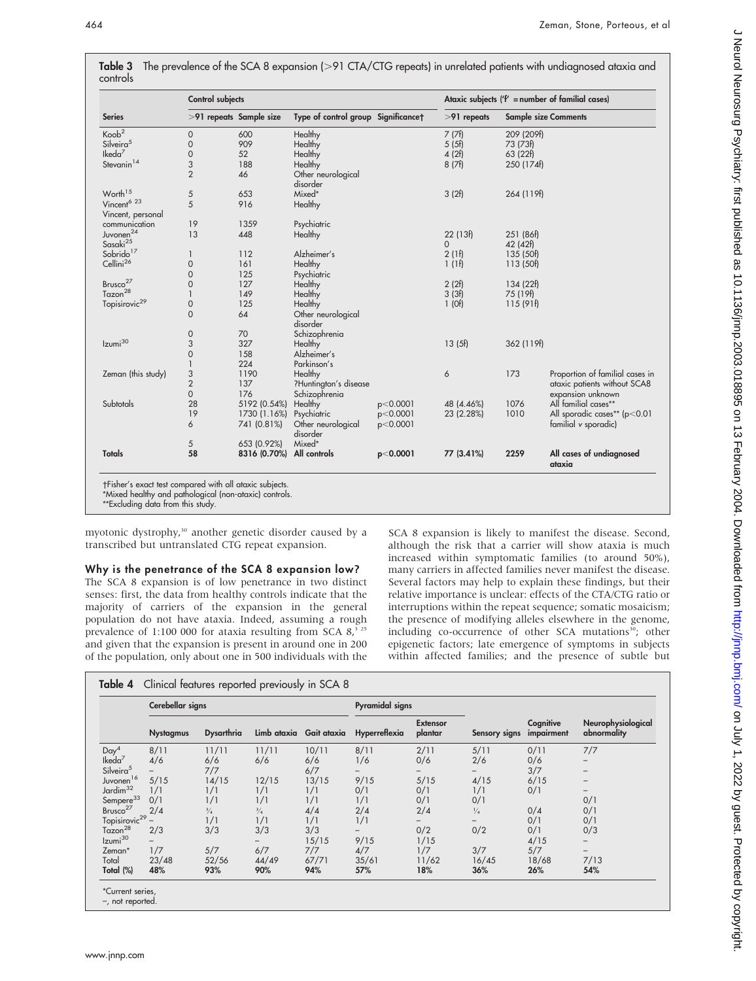|                                              | <b>Control subjects</b> |              |                                     | Ataxic subjects $('f' = number of familiar cases)$ |               |            |                                    |
|----------------------------------------------|-------------------------|--------------|-------------------------------------|----------------------------------------------------|---------------|------------|------------------------------------|
| <b>Series</b>                                | >91 repeats Sample size |              | Type of control group Significancet |                                                    | $>91$ repeats |            | <b>Sample size Comments</b>        |
| Koob <sup>2</sup>                            | 0                       | 600          | Healthy                             |                                                    | 7(7f)         | 209 (209f) |                                    |
| Silveira <sup>5</sup>                        | $\mathsf{O}\xspace$     | 909          | Healthy                             |                                                    | 5(5f)         | 73 (73f)   |                                    |
| Ikeda <sup>7</sup>                           | 0                       | 52           | Healthy                             |                                                    | 4(2f)         | 63 (22f)   |                                    |
| Stevanin <sup>14</sup>                       | 3                       | 188          | Healthy                             |                                                    | 8(7f)         | 250 (174f) |                                    |
|                                              | $\overline{2}$          | 46           | Other neurological<br>disorder      |                                                    |               |            |                                    |
| Worth <sup>15</sup>                          | 5                       | 653          | Mixed*                              |                                                    | 3(2f)         | 264 (119f) |                                    |
| Vincent <sup>6</sup> 23<br>Vincent, personal | 5                       | 916          | Healthy                             |                                                    |               |            |                                    |
| communication                                | 19                      | 1359         | Psychiatric                         |                                                    |               |            |                                    |
| Juvonen <sup>24</sup>                        | 13                      | 448          | Healthy                             |                                                    | 22(13f)       | 251 (86f)  |                                    |
| Sasaki <sup>25</sup>                         |                         |              |                                     |                                                    | $\mathbf 0$   | 42 (42f)   |                                    |
| Sobrido <sup>17</sup>                        | 1                       | 112          | Alzheimer's                         |                                                    | 2(1f)         | 135 (50f)  |                                    |
| Cellini <sup>26</sup>                        | $\mathsf{O}\xspace$     | 161          | Healthy                             |                                                    | 1(1f)         | 113 (50f)  |                                    |
|                                              | $\mathsf{O}\xspace$     | 125          | Psychiatric                         |                                                    |               |            |                                    |
| Brusco <sup>27</sup>                         | $\mathsf O$             | 127          | Healthy                             |                                                    | 2(2f)         | 134 (22f)  |                                    |
| Tazon <sup>28</sup>                          | $\mathbf{1}$            | 149          | Healthy                             |                                                    | 3(3f)         | 75 (19f)   |                                    |
| Topisirovic <sup>29</sup>                    | $\mathsf{O}\xspace$     | 125          | Healthy                             |                                                    | $1$ (Of)      | 115(91f)   |                                    |
|                                              | $\overline{0}$          | 64           | Other neurological<br>disorder      |                                                    |               |            |                                    |
|                                              | 0                       | 70           | Schizophrenia                       |                                                    |               |            |                                    |
| Izumi <sup>30</sup>                          | 3                       | 327          | Healthy                             |                                                    | 13(5f)        | 362 (119f) |                                    |
|                                              | $\mathsf{O}\xspace$     | 158          | Alzheimer's                         |                                                    |               |            |                                    |
|                                              | $\mathbf{1}$            | 224          | Parkinson's                         |                                                    |               |            |                                    |
| Zeman (this study)                           |                         | 1190         | Healthy                             |                                                    | 6             | 173        | Proportion of familial cases in    |
|                                              | $\frac{3}{2}$           | 137          | ?Huntington's disease               |                                                    |               |            | ataxic patients without SCA8       |
|                                              | 0                       | 176          | Schizophrenia                       |                                                    |               |            | expansion unknown                  |
| <b>Subtotals</b>                             | 28                      | 5192 (0.54%) | Healthy                             | p<0.0001                                           | 48 (4.46%)    | 1076       | All familial cases**               |
|                                              | 19                      | 1730 (1.16%) | Psychiatric                         | p<0.0001                                           | 23 (2.28%)    | 1010       | All sporadic cases** (p<0.01       |
|                                              | 6                       | 741 (0.81%)  | Other neurological<br>disorder      | p<0.0001                                           |               |            | familial v sporadic)               |
|                                              | 5                       | 653 (0.92%)  | Mixed*                              |                                                    |               |            |                                    |
| <b>Totals</b>                                | 58                      | 8316 (0.70%) | All controls                        | p<0.0001                                           | 77 (3.41%)    | 2259       | All cases of undiagnosed<br>ataxia |

**Table 3** The prevalence of the SCA 8 expansion (>91 CTA/CTG repeats) in unrelated patients with undiagnosed ataxia and

-Fisher's exact test compared with all ataxic subjects.

\*Mixed healthy and pathological (non-ataxic) controls.

\*\*Excluding data from this study.

myotonic dystrophy,<sup>30</sup> another genetic disorder caused by a transcribed but untranslated CTG repeat expansion.

Why is the penetrance of the SCA 8 expansion low? The SCA 8 expansion is of low penetrance in two distinct senses: first, the data from healthy controls indicate that the majority of carriers of the expansion in the general population do not have ataxia. Indeed, assuming a rough prevalence of 1:100 000 for ataxia resulting from SCA  $8^{3}$ ,  $25$ and given that the expansion is present in around one in 200 of the population, only about one in 500 individuals with the SCA 8 expansion is likely to manifest the disease. Second, although the risk that a carrier will show ataxia is much increased within symptomatic families (to around 50%), many carriers in affected families never manifest the disease. Several factors may help to explain these findings, but their relative importance is unclear: effects of the CTA/CTG ratio or interruptions within the repeat sequence; somatic mosaicism; the presence of modifying alleles elsewhere in the genome, including co-occurrence of other SCA mutations<sup>30</sup>; other epigenetic factors; late emergence of symptoms in subjects within affected families; and the presence of subtle but

|                           | Cerebellar signs |                   |             |                         | Pyramidal signs |                            |               |                         |                                   |  |
|---------------------------|------------------|-------------------|-------------|-------------------------|-----------------|----------------------------|---------------|-------------------------|-----------------------------------|--|
|                           | <b>Nystagmus</b> | <b>Dysarthria</b> |             | Limb ataxia Gait ataxia | Hyperreflexia   | <b>Extensor</b><br>plantar | Sensory signs | Cognitive<br>impairment | Neurophysiological<br>abnormality |  |
| Day <sup>4</sup>          | 8/11             | 11/11             | 11/11       | 10/11                   | 8/11            | 2/11                       | 5/11          | 0/11                    | 7/7                               |  |
| $l$ keda <sup>7</sup>     | 4/6              | 6/6               | 6/6         | 6/6                     | 1/6             | 0/6                        | 2/6           | 0/6                     |                                   |  |
| Silveira <sup>5</sup>     |                  | 7/7               |             | 6/7                     |                 |                            |               | 3/7                     |                                   |  |
| Juvonen <sup>16</sup>     | 5/15             | 14/15             | 12/15       | 13/15                   | 9/15            | 5/15                       | 4/15          | 6/15                    |                                   |  |
| Jardim <sup>32</sup>      | 1/1              | 1/1               | 1/1         | 1/1                     | 0/1             | 0/1                        | 1/1           | 0/1                     | $\overline{\phantom{0}}$          |  |
| Sempere <sup>33</sup>     | 0/1              | 1/1               | 1/1         | 1/1                     | 1/1             | 0/1                        | 0/1           |                         | 0/1                               |  |
| Brusco <sup>27</sup>      | 2/4              | $^{3}/_{4}$       | $^{3}/_{4}$ | 4/4                     | 2/4             | 2/4                        | $\frac{1}{4}$ | 0/4                     | 0/1                               |  |
| Topisirovic <sup>29</sup> |                  | 1/1               | 1/1         | 1/1                     | 1/1             |                            |               | 0/1                     | 0/1                               |  |
| Tazon <sup>28</sup>       | 2/3              | 3/3               | 3/3         | 3/3                     |                 | 0/2                        | 0/2           | 0/1                     | 0/3                               |  |
| Izumi <sup>30</sup>       |                  |                   |             | 15/15                   | 9/15            | 1/15                       |               | 4/15                    | -                                 |  |
| Zeman*                    | 1/7              | 5/7               | 6/7         | 7/7                     | 4/7             | 1/7                        | 3/7           | 5/7                     |                                   |  |
| Total                     | 23/48            | 52/56             | 44/49       | 67/71                   | 35/61           | 11/62                      | 16/45         | 18/68                   | 7/13                              |  |
| Total (%)                 | 48%              | 93%               | 90%         | 94%                     | 57%             | 18%                        | 36%           | 26%                     | 54%                               |  |

–, not reported.

J Neurol Neurosurg Psychiatry: first published as 10.11136/jnnp.2003.018895 on 13 February 2004. Downloaded from http://jnnp.bmj.com/ on July 1, 2022 by guest. Protected by copyright. J Neurol Neurosurg Psychiatry: first published as 10.1136/jnnp.2003.018895 on 13 February 2004. Downloaded from <http://jnnp.bmj.com/> on July 1, 2022 by guest. Protected by copyright.